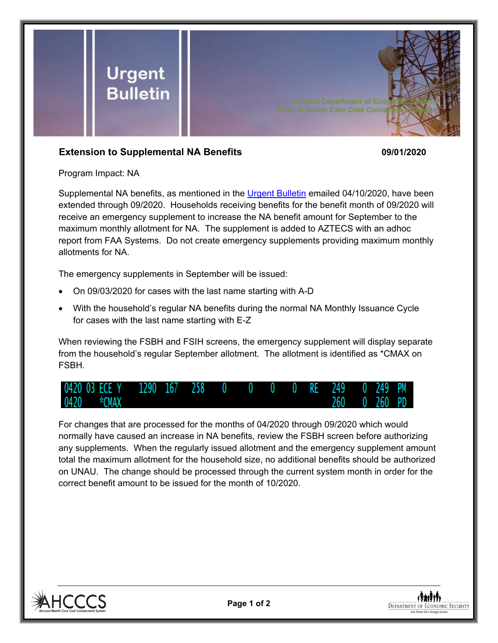

## **Extension to Supplemental NA Benefits 09/01/2020**

Program Impact: NA

Supplemental NA benefits, as mentioned in the [Urgent Bulletin](https://dbmefaapolicy.azdes.gov/FAA5/baggage/Urgent%20Bulletin%20(04-10-2020)%20-%20Supplemental%20Nutrition%20Assistance%20Benefits%20for%20Participants.pdf) emailed 04/10/2020, have been extended through 09/2020. Households receiving benefits for the benefit month of 09/2020 will receive an emergency supplement to increase the NA benefit amount for September to the maximum monthly allotment for NA. The supplement is added to AZTECS with an adhoc report from FAA Systems. Do not create emergency supplements providing maximum monthly allotments for NA.

The emergency supplements in September will be issued:

- On 09/03/2020 for cases with the last name starting with A-D
- With the household's regular NA benefits during the normal NA Monthly Issuance Cycle for cases with the last name starting with E-Z

When reviewing the FSBH and FSIH screens, the emergency supplement will display separate from the household's regular September allotment. The allotment is identified as \*CMAX on FSBH.

![](_page_0_Figure_9.jpeg)

For changes that are processed for the months of 04/2020 through 09/2020 which would normally have caused an increase in NA benefits, review the FSBH screen before authorizing any supplements. When the regularly issued allotment and the emergency supplement amount total the maximum allotment for the household size, no additional benefits should be authorized on UNAU. The change should be processed through the current system month in order for the correct benefit amount to be issued for the month of 10/2020.

![](_page_0_Picture_11.jpeg)